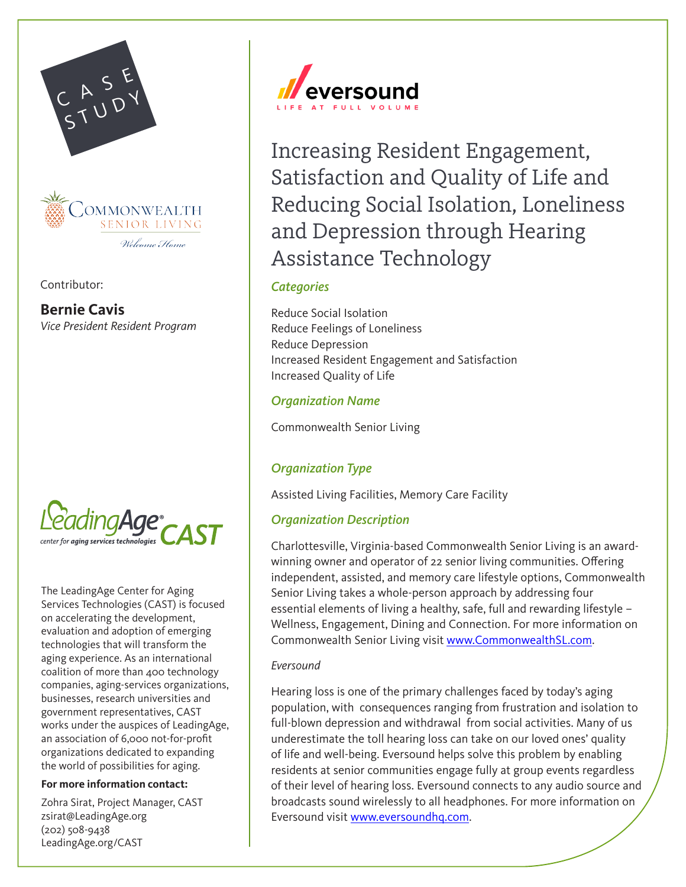

Contributor:

**Bernie Cavis** *Vice President Resident Program*



The LeadingAge Center for Aging Services Technologies (CAST) is focused on accelerating the development, evaluation and adoption of emerging technologies that will transform the aging experience. As an international coalition of more than 400 technology companies, aging-services organizations, businesses, research universities and government representatives, CAST works under the auspices of LeadingAge, an association of 6,000 not-for-profit organizations dedicated to expanding the world of possibilities for aging.

#### **For more information contact:**

Zohra Sirat, Project Manager, CAST [zsirat@LeadingAge.org](mailto:zsirat%40LeadingAge.org?subject=CAST%20Case%20Study) (202) 508-9438 [LeadingAge.org/CAST](http://www.LeadingAge.org/CAST)



Increasing Resident Engagement, Satisfaction and Quality of Life and Reducing Social Isolation, Loneliness and Depression through Hearing Assistance Technology

## *Categories*

Reduce Social Isolation Reduce Feelings of Loneliness Reduce Depression Increased Resident Engagement and Satisfaction Increased Quality of Life

### *Organization Name*

Commonwealth Senior Living

# *Organization Type*

Assisted Living Facilities, Memory Care Facility

## *Organization Description*

Charlottesville, Virginia-based Commonwealth Senior Living is an awardwinning owner and operator of 22 senior living communities. Offering independent, assisted, and memory care lifestyle options, Commonwealth Senior Living takes a whole-person approach by addressing four essential elements of living a healthy, safe, full and rewarding lifestyle – Wellness, Engagement, Dining and Connection. For more information on Commonwealth Senior Living visit [www.CommonwealthSL.com.](http://www.CommonwealthSL.com)

#### *Eversound*

Hearing loss is one of the primary challenges faced by today's aging population, with consequences ranging from frustration and isolation to full-blown depression and withdrawal from social activities. Many of us underestimate the toll hearing loss can take on our loved ones' quality of life and well-being. Eversound helps solve this problem by enabling residents at senior communities engage fully at group events regardless of their level of hearing loss. Eversound connects to any audio source and broadcasts sound wirelessly to all headphones. For more information on Eversound visit [www.eversoundhq.com.](http://www.eversoundhq.com)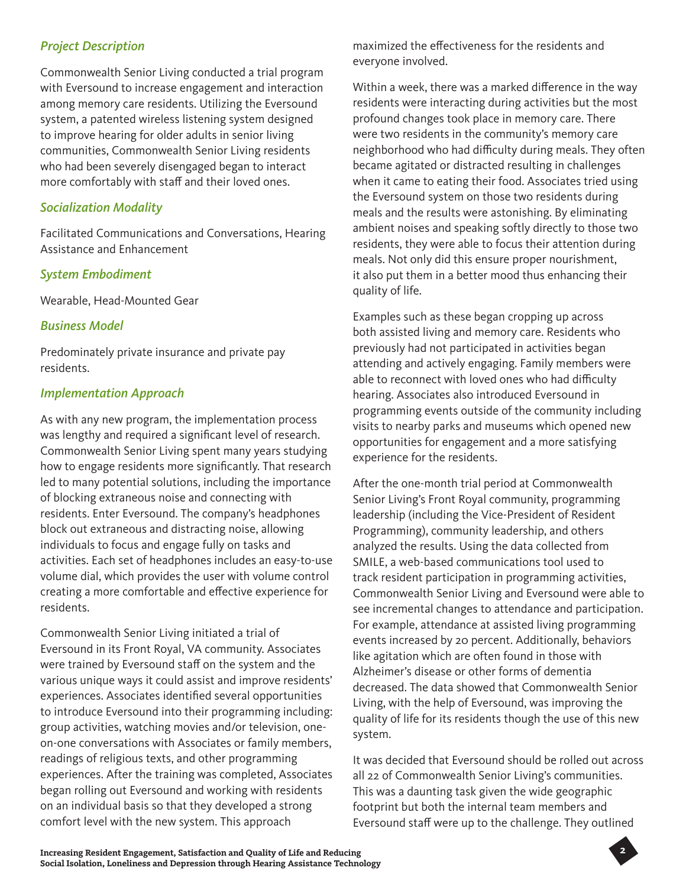# *Project Description*

Commonwealth Senior Living conducted a trial program with Eversound to increase engagement and interaction among memory care residents. Utilizing the Eversound system, a patented wireless listening system designed to improve hearing for older adults in senior living communities, Commonwealth Senior Living residents who had been severely disengaged began to interact more comfortably with staff and their loved ones.

# *Socialization Modality*

Facilitated Communications and Conversations, Hearing Assistance and Enhancement

### *System Embodiment*

Wearable, Head-Mounted Gear

### *Business Model*

Predominately private insurance and private pay residents.

## *Implementation Approach*

As with any new program, the implementation process was lengthy and required a significant level of research. Commonwealth Senior Living spent many years studying how to engage residents more significantly. That research led to many potential solutions, including the importance of blocking extraneous noise and connecting with residents. Enter Eversound. The company's headphones block out extraneous and distracting noise, allowing individuals to focus and engage fully on tasks and activities. Each set of headphones includes an easy-to-use volume dial, which provides the user with volume control creating a more comfortable and effective experience for residents.

Commonwealth Senior Living initiated a trial of Eversound in its Front Royal, VA community. Associates were trained by Eversound staff on the system and the various unique ways it could assist and improve residents' experiences. Associates identified several opportunities to introduce Eversound into their programming including: group activities, watching movies and/or television, oneon-one conversations with Associates or family members, readings of religious texts, and other programming experiences. After the training was completed, Associates began rolling out Eversound and working with residents on an individual basis so that they developed a strong comfort level with the new system. This approach

maximized the effectiveness for the residents and everyone involved.

Within a week, there was a marked difference in the way residents were interacting during activities but the most profound changes took place in memory care. There were two residents in the community's memory care neighborhood who had difficulty during meals. They often became agitated or distracted resulting in challenges when it came to eating their food. Associates tried using the Eversound system on those two residents during meals and the results were astonishing. By eliminating ambient noises and speaking softly directly to those two residents, they were able to focus their attention during meals. Not only did this ensure proper nourishment, it also put them in a better mood thus enhancing their quality of life.

Examples such as these began cropping up across both assisted living and memory care. Residents who previously had not participated in activities began attending and actively engaging. Family members were able to reconnect with loved ones who had difficulty hearing. Associates also introduced Eversound in programming events outside of the community including visits to nearby parks and museums which opened new opportunities for engagement and a more satisfying experience for the residents.

After the one-month trial period at Commonwealth Senior Living's Front Royal community, programming leadership (including the Vice-President of Resident Programming), community leadership, and others analyzed the results. Using the data collected from SMILE, a web-based communications tool used to track resident participation in programming activities, Commonwealth Senior Living and Eversound were able to see incremental changes to attendance and participation. For example, attendance at assisted living programming events increased by 20 percent. Additionally, behaviors like agitation which are often found in those with Alzheimer's disease or other forms of dementia decreased. The data showed that Commonwealth Senior Living, with the help of Eversound, was improving the quality of life for its residents though the use of this new system.

It was decided that Eversound should be rolled out across all 22 of Commonwealth Senior Living's communities. This was a daunting task given the wide geographic footprint but both the internal team members and Eversound staff were up to the challenge. They outlined

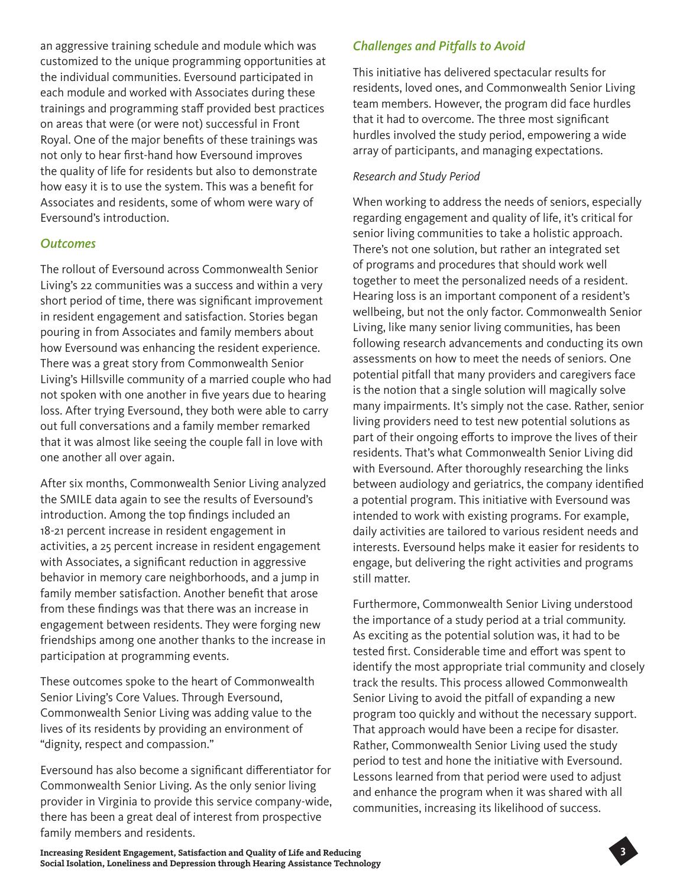an aggressive training schedule and module which was customized to the unique programming opportunities at the individual communities. Eversound participated in each module and worked with Associates during these trainings and programming staff provided best practices on areas that were (or were not) successful in Front Royal. One of the major benefits of these trainings was not only to hear first-hand how Eversound improves the quality of life for residents but also to demonstrate how easy it is to use the system. This was a benefit for Associates and residents, some of whom were wary of Eversound's introduction.

#### *Outcomes*

The rollout of Eversound across Commonwealth Senior Living's 22 communities was a success and within a very short period of time, there was significant improvement in resident engagement and satisfaction. Stories began pouring in from Associates and family members about how Eversound was enhancing the resident experience. There was a great story from Commonwealth Senior Living's Hillsville community of a married couple who had not spoken with one another in five years due to hearing loss. After trying Eversound, they both were able to carry out full conversations and a family member remarked that it was almost like seeing the couple fall in love with one another all over again.

After six months, Commonwealth Senior Living analyzed the SMILE data again to see the results of Eversound's introduction. Among the top findings included an 18-21 percent increase in resident engagement in activities, a 25 percent increase in resident engagement with Associates, a significant reduction in aggressive behavior in memory care neighborhoods, and a jump in family member satisfaction. Another benefit that arose from these findings was that there was an increase in engagement between residents. They were forging new friendships among one another thanks to the increase in participation at programming events.

These outcomes spoke to the heart of Commonwealth Senior Living's Core Values. Through Eversound, Commonwealth Senior Living was adding value to the lives of its residents by providing an environment of "dignity, respect and compassion."

Eversound has also become a significant differentiator for Commonwealth Senior Living. As the only senior living provider in Virginia to provide this service company-wide, there has been a great deal of interest from prospective family members and residents.

# *Challenges and Pitfalls to Avoid*

This initiative has delivered spectacular results for residents, loved ones, and Commonwealth Senior Living team members. However, the program did face hurdles that it had to overcome. The three most significant hurdles involved the study period, empowering a wide array of participants, and managing expectations.

### *Research and Study Period*

When working to address the needs of seniors, especially regarding engagement and quality of life, it's critical for senior living communities to take a holistic approach. There's not one solution, but rather an integrated set of programs and procedures that should work well together to meet the personalized needs of a resident. Hearing loss is an important component of a resident's wellbeing, but not the only factor. Commonwealth Senior Living, like many senior living communities, has been following research advancements and conducting its own assessments on how to meet the needs of seniors. One potential pitfall that many providers and caregivers face is the notion that a single solution will magically solve many impairments. It's simply not the case. Rather, senior living providers need to test new potential solutions as part of their ongoing efforts to improve the lives of their residents. That's what Commonwealth Senior Living did with Eversound. After thoroughly researching the links between audiology and geriatrics, the company identified a potential program. This initiative with Eversound was intended to work with existing programs. For example, daily activities are tailored to various resident needs and interests. Eversound helps make it easier for residents to engage, but delivering the right activities and programs still matter.

Furthermore, Commonwealth Senior Living understood the importance of a study period at a trial community. As exciting as the potential solution was, it had to be tested first. Considerable time and effort was spent to identify the most appropriate trial community and closely track the results. This process allowed Commonwealth Senior Living to avoid the pitfall of expanding a new program too quickly and without the necessary support. That approach would have been a recipe for disaster. Rather, Commonwealth Senior Living used the study period to test and hone the initiative with Eversound. Lessons learned from that period were used to adjust and enhance the program when it was shared with all communities, increasing its likelihood of success.